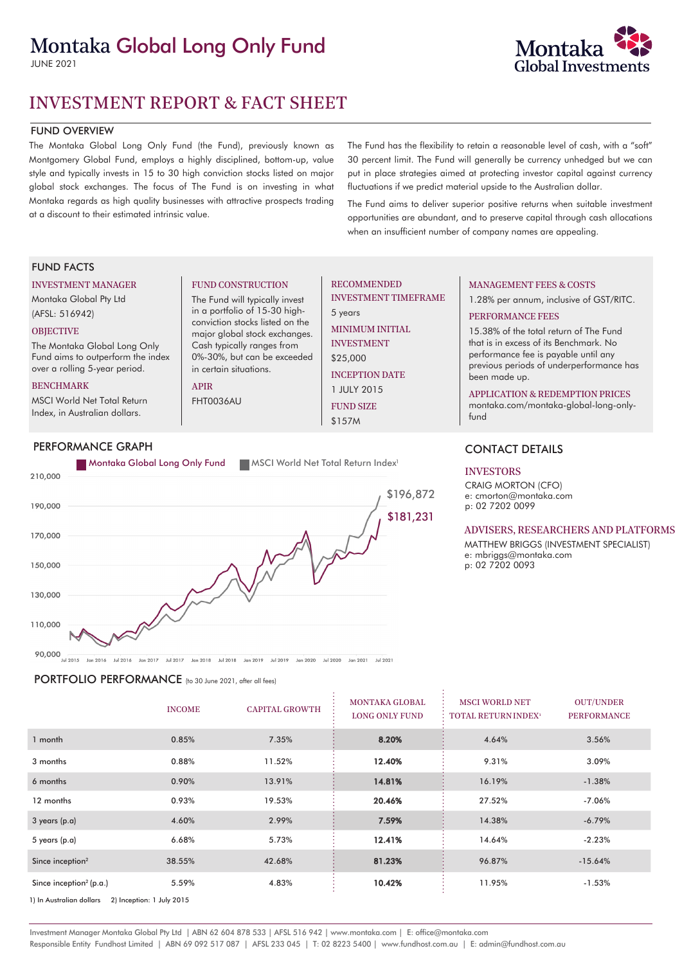# Montaka Global Long Only Fund

JUNE 2021



#### FUND OVERVIEW

The Montaka Global Long Only Fund (the Fund), previously known as Montgomery Global Fund, employs a highly disciplined, bottom-up, value style and typically invests in 15 to 30 high conviction stocks listed on major global stock exchanges. The focus of The Fund is on investing in what Montaka regards as high quality businesses with attractive prospects trading at a discount to their estimated intrinsic value.

The Fund has the flexibility to retain a reasonable level of cash, with a "soft" 30 percent limit. The Fund will generally be currency unhedged but we can put in place strategies aimed at protecting investor capital against currency fluctuations if we predict material upside to the Australian dollar.

The Fund aims to deliver superior positive returns when suitable investment opportunities are abundant, and to preserve capital through cash allocations when an insufficient number of company names are appealing.

#### FUND FACTS

#### INVESTMENT MANAGER

Montaka Global Pty Ltd (AFSL: 516942)

#### **OBJECTIVE**

The Montaka Global Long Only Fund aims to outperform the index over a rolling 5-year period.

#### BENCHMARK

MSCI World Net Total Return Index, in Australian dollars.

#### PERFORMANCE GRAPH



FUND CONSTRUCTION The Fund will typically invest in a portfolio of 15-30 highconviction stocks listed on the major global stock exchanges. Cash typically ranges from 0%-30%, but can be exceeded

in certain situations.

APIR FHT0036AU

90,000<br>Jul 2015 Jan 2016 Jul 2016 Jan 2017 Jul 2017 Jan 2018 Jul 2018 Jan 2019 Jul 2019 Jan 2020 Jul 2020 Jan 2021 Jul 2021

PORTFOLIO PERFORMANCE (to 30 June 2021, after all fees)

|                                                       | <b>INCOME</b> | <b>CAPITAL GROWTH</b> | <b>MONTAKA GLOBAL</b><br><b>LONG ONLY FUND</b> | <b>MSCI WORLD NET</b><br><b>TOTAL RETURN INDEX<sup>1</sup></b> | <b>OUT/UNDER</b><br><b>PERFORMANCE</b> |  |
|-------------------------------------------------------|---------------|-----------------------|------------------------------------------------|----------------------------------------------------------------|----------------------------------------|--|
| 1 month                                               | 0.85%         | 7.35%                 | 8.20%                                          | 4.64%                                                          | 3.56%                                  |  |
| 3 months                                              | 0.88%         | 11.52%                | 12.40%                                         | 9.31%                                                          | 3.09%                                  |  |
| 6 months                                              | 0.90%         | 13.91%                | 14.81%                                         | 16.19%                                                         | $-1.38%$                               |  |
| 12 months                                             | 0.93%         | 19.53%                | 20.46%                                         | 27.52%                                                         | $-7.06%$                               |  |
| $3$ years (p.a)                                       | 4.60%         | 2.99%                 | 7.59%                                          | 14.38%                                                         | $-6.79%$                               |  |
| 5 years $(p.a)$                                       | 6.68%         | 5.73%                 | 12.41%                                         | 14.64%                                                         | $-2.23%$                               |  |
| Since inception <sup>2</sup>                          | 38.55%        | 42.68%                | 81.23%                                         | 96.87%                                                         | $-15.64%$                              |  |
| Since inception <sup>2</sup> (p.a.)                   | 5.59%         | 4.83%                 | 10.42%                                         | 11.95%                                                         | $-1.53%$                               |  |
| 1) In Australian dollars<br>2) Inception: 1 July 2015 |               |                       |                                                |                                                                |                                        |  |

# RECOMMENDED

INVESTMENT TIMEFRAME 5 years

MINIMUM INITIAL INVESTMENT

\$25,000 INCEPTION DATE

1 JULY 2015 FUND SIZE

\$157M

## MANAGEMENT FEES & COSTS

1.28% per annum, inclusive of GST/RITC.

#### PERFORMANCE FEES

15.38% of the total return of The Fund that is in excess of its Benchmark. No performance fee is payable until any previous periods of underperformance has been made up.

#### APPLICATION & REDEMPTION PRICES

montaka.com/montaka-global-long-onlyfund

## CONTACT DETAILS

#### INVESTORS

CRAIG MORTON (CFO) e: cmorton@montaka.com p: 02 7202 0099

#### ADVISERS, RESEARCHERS AND PLATFORMS

MATTHEW BRIGGS (INVESTMENT SPECIALIST) e: mbriggs@montaka.com p: 02 7202 0093

Investment Manager Montaka Global Pty Ltd | ABN 62 604 878 533 | AFSL 516 942 | www.montaka.com | E: office@montaka.com Responsible Entity Fundhost Limited | ABN 69 092 517 087 | AFSL 233 045 | T: 02 8223 5400 | www.fundhost.com.au | E: admin@fundhost.com.au